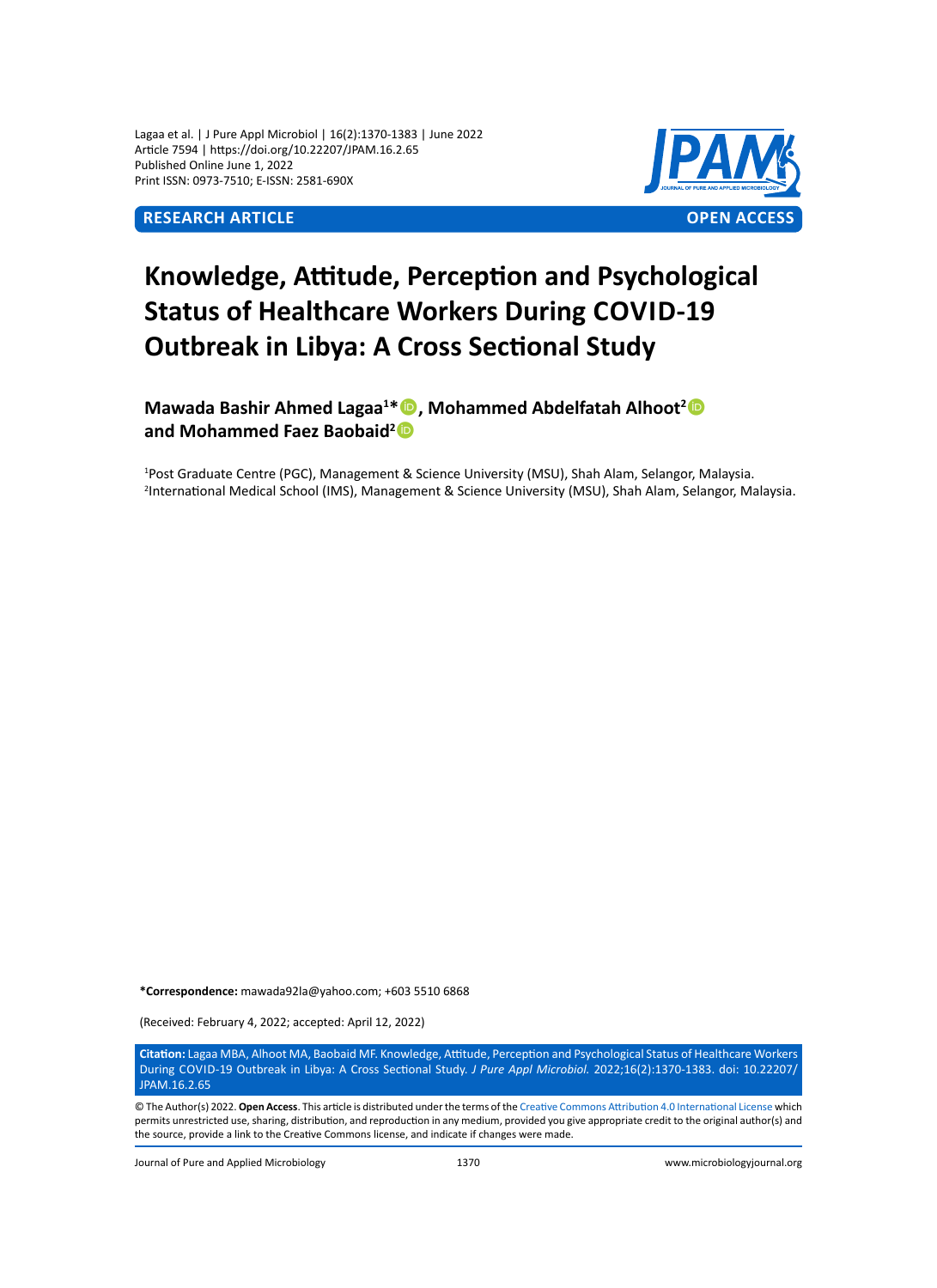Lagaa et al. | J Pure Appl Microbiol | 16(2):1370-1383 | June 2022 Article 7594 | https://doi.org/10.22207/JPAM.16.2.65 Published Online June 1, 2022 Print ISSN: 0973-7510; E-ISSN: 2581-690X



# **Knowledge, Attitude, Perception and Psychological Status of Healthcare Workers During COVID-19 Outbreak in Libya: A Cross Sectional Study**

**Mawada Bashir Ahmed Lagaa<sup>1</sup> \*, Mohammed Abdelfatah Alhoot<sup>2</sup> and Mohammed Faez Baobaid<sup>2</sup>**

1 Post Graduate Centre (PGC), Management & Science University (MSU), Shah Alam, Selangor, Malaysia. 2 International Medical School (IMS), Management & Science University (MSU), Shah Alam, Selangor, Malaysia.

**\*Correspondence:** mawada92la@yahoo.com; +603 5510 6868

(Received: February 4, 2022; accepted: April 12, 2022)

**Citation:** Lagaa MBA, Alhoot MA, Baobaid MF. Knowledge, Attitude, Perception and Psychological Status of Healthcare Workers During Covid-19 Outbreak in Libya: A Cross Sectional Study. *J Pure Appl Microbiol.* 2022;16(2):1370-1383. doi: 10.22207/ JPAM.16.2.65

© The Author(s) 2022. **Open Access**. This article is distributed under the terms of the [Creative Commons Attribution 4.0 International License](https://creativecommons.org/licenses/by/4.0/) which permits unrestricted use, sharing, distribution, and reproduction in any medium, provided you give appropriate credit to the original author(s) and the source, provide a link to the Creative Commons license, and indicate if changes were made.

Journal of Pure and Applied Microbiology 1370 www.microbiologyjournal.org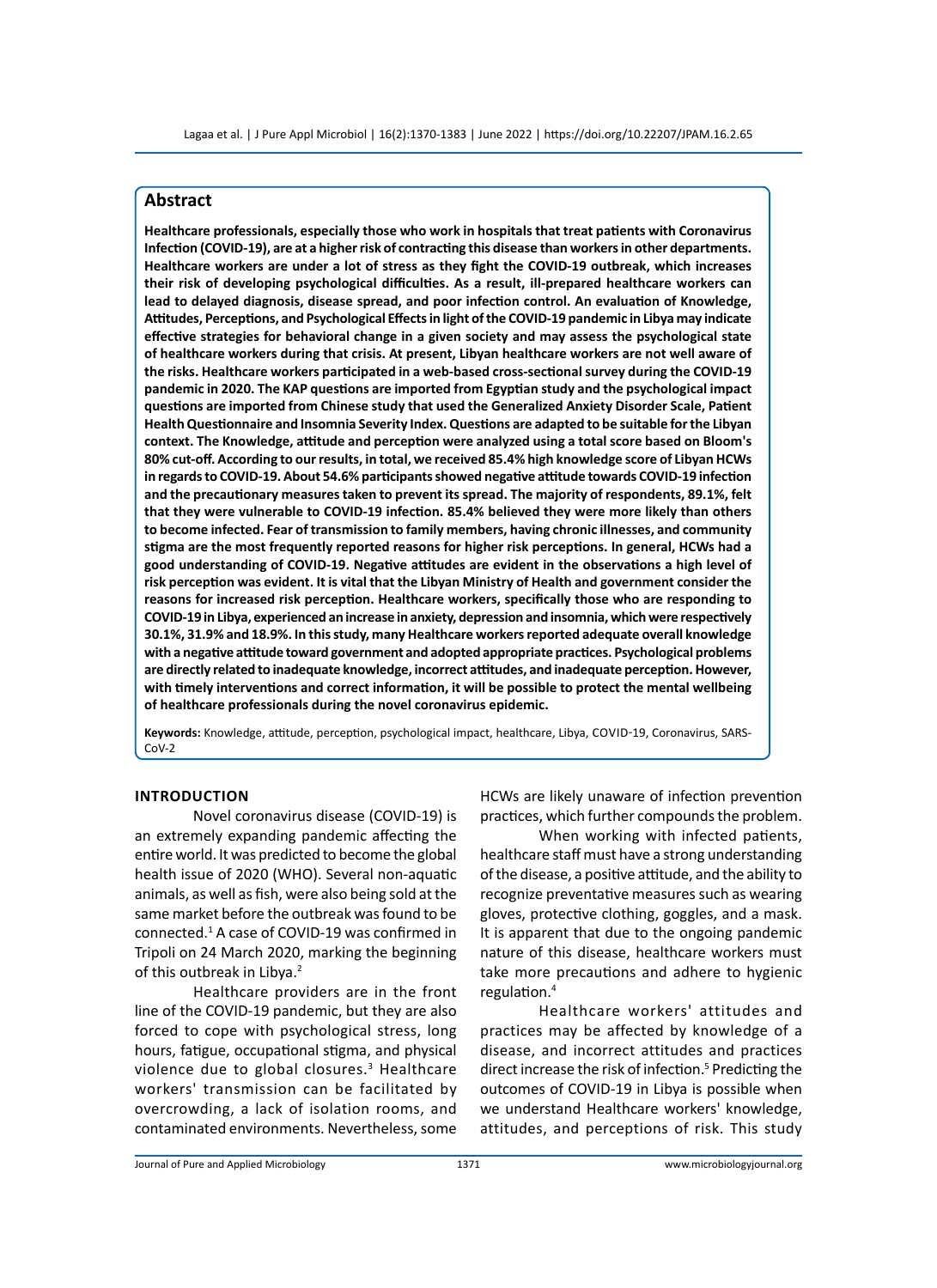# **Abstract**

**Healthcare professionals, especially those who work in hospitals that treat patients with Coronavirus Infection (COVID-19), are at a higher risk of contracting this disease than workers in other departments. Healthcare workers are under a lot of stress as they fight the COVID-19 outbreak, which increases their risk of developing psychological difficulties. As a result, ill-prepared healthcare workers can lead to delayed diagnosis, disease spread, and poor infection control. An evaluation of Knowledge, Attitudes, Perceptions, and Psychological Effects in light of the COVID-19 pandemic in Libya may indicate effective strategies for behavioral change in a given society and may assess the psychological state of healthcare workers during that crisis. At present, Libyan healthcare workers are not well aware of the risks. Healthcare workers participated in a web-based cross-sectional survey during the COVID-19 pandemic in 2020. The KAP questions are imported from Egyptian study and the psychological impact questions are imported from Chinese study that used the Generalized Anxiety Disorder Scale, Patient Health Questionnaire and Insomnia Severity Index. Questions are adapted to be suitable for the Libyan context. The Knowledge, attitude and perception were analyzed using a total score based on Bloom's 80% cut-off. According to our results, in total, we received 85.4% high knowledge score of Libyan HCWs in regards to COVID-19. About 54.6% participants showed negative attitude towards COVID-19 infection and the precautionary measures taken to prevent its spread. The majority of respondents, 89.1%, felt that they were vulnerable to COVID-19 infection. 85.4% believed they were more likely than others to become infected. Fear of transmission to family members, having chronic illnesses, and community stigma are the most frequently reported reasons for higher risk perceptions. In general, HCWs had a good understanding of COVID-19. Negative attitudes are evident in the observations a high level of risk perception was evident. It is vital that the Libyan Ministry of Health and government consider the reasons for increased risk perception. Healthcare workers, specifically those who are responding to COVID-19 in Libya, experienced an increase in anxiety, depression and insomnia, which were respectively 30.1%, 31.9% and 18.9%. In this study, many Healthcare workers reported adequate overall knowledge with a negative attitude toward government and adopted appropriate practices. Psychological problems are directly related to inadequate knowledge, incorrect attitudes, and inadequate perception. However, with timely interventions and correct information, it will be possible to protect the mental wellbeing of healthcare professionals during the novel coronavirus epidemic.**

**Keywords:** Knowledge, attitude, perception, psychological impact, healthcare, Libya, Covid-19, Coronavirus, SARS-CoV-2

# **Introduction**

Novel coronavirus disease (COVID-19) is an extremely expanding pandemic affecting the entire world. It was predicted to become the global health issue of 2020 (WHO). Several non-aquatic animals, as well as fish, were also being sold at the same market before the outbreak was found to be connected.<sup>1</sup> A case of COVID-19 was confirmed in Tripoli on 24 March 2020, marking the beginning of this outbreak in Libya.<sup>2</sup>

Healthcare providers are in the front line of the COVID-19 pandemic, but they are also forced to cope with psychological stress, long hours, fatigue, occupational stigma, and physical violence due to global closures.<sup>3</sup> Healthcare workers' transmission can be facilitated by overcrowding, a lack of isolation rooms, and contaminated environments. Nevertheless, some

HCWs are likely unaware of infection prevention practices, which further compounds the problem.

When working with infected patients, healthcare staff must have a strong understanding of the disease, a positive attitude, and the ability to recognize preventative measures such as wearing gloves, protective clothing, goggles, and a mask. It is apparent that due to the ongoing pandemic nature of this disease, healthcare workers must take more precautions and adhere to hygienic regulation.<sup>4</sup>

Healthcare workers' attitudes and practices may be affected by knowledge of a disease, and incorrect attitudes and practices direct increase the risk of infection.<sup>5</sup> Predicting the outcomes of COVID-19 in Libya is possible when we understand Healthcare workers' knowledge, attitudes, and perceptions of risk. This study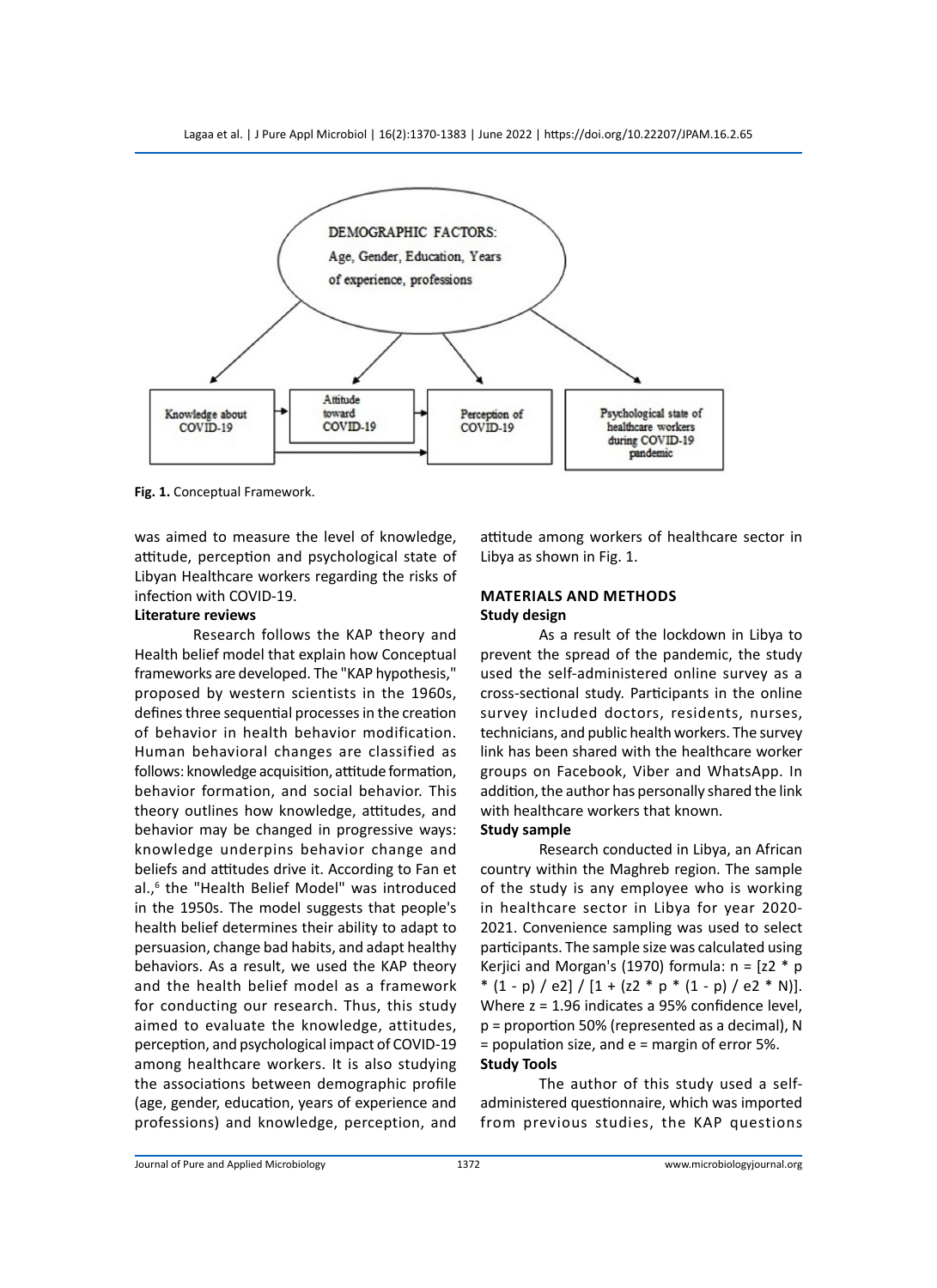Lagaa et al. | J Pure Appl Microbiol | 16(2):1370-1383 | June 2022 | https://doi.org/10.22207/JPAM.16.2.65



**Fig. 1.** Conceptual Framework.

was aimed to measure the level of knowledge, attitude, perception and psychological state of Libyan Healthcare workers regarding the risks of infection with COVID-19.

# **Literature reviews**

Research follows the KAP theory and Health belief model that explain how Conceptual frameworks are developed. The "KAP hypothesis," proposed by western scientists in the 1960s, defines three sequential processes in the creation of behavior in health behavior modification. Human behavioral changes are classified as follows: knowledge acquisition, attitude formation, behavior formation, and social behavior. This theory outlines how knowledge, attitudes, and behavior may be changed in progressive ways: knowledge underpins behavior change and beliefs and attitudes drive it. According to Fan et al.,<sup>6</sup> the "Health Belief Model" was introduced in the 1950s. The model suggests that people's health belief determines their ability to adapt to persuasion, change bad habits, and adapt healthy behaviors. As a result, we used the KAP theory and the health belief model as a framework for conducting our research. Thus, this study aimed to evaluate the knowledge, attitudes, perception, and psychological impact of COVID-19 among healthcare workers. It is also studying the associations between demographic profile (age, gender, education, years of experience and professions) and knowledge, perception, and

attitude among workers of healthcare sector in Libya as shown in Fig. 1.

# **Materials and methods Study design**

As a result of the lockdown in Libya to prevent the spread of the pandemic, the study used the self-administered online survey as a cross-sectional study. Participants in the online survey included doctors, residents, nurses, technicians, and public health workers. The survey link has been shared with the healthcare worker groups on Facebook, Viber and WhatsApp. In addition, the author has personally shared the link with healthcare workers that known.

# **Study sample**

Research conducted in Libya, an African country within the Maghreb region. The sample of the study is any employee who is working in healthcare sector in Libya for year 2020- 2021. Convenience sampling was used to select participants. The sample size was calculated using Kerjici and Morgan's (1970) formula:  $n = [z2 * p$  $*(1-p)/e2]/[1+(z2*p*(1-p)/e2*N)].$ Where z = 1.96 indicates a 95% confidence level, p = proportion 50% (represented as a decimal), N = population size, and e = margin of error 5%. **Study Tools**

The author of this study used a selfadministered questionnaire, which was imported from previous studies, the KAP questions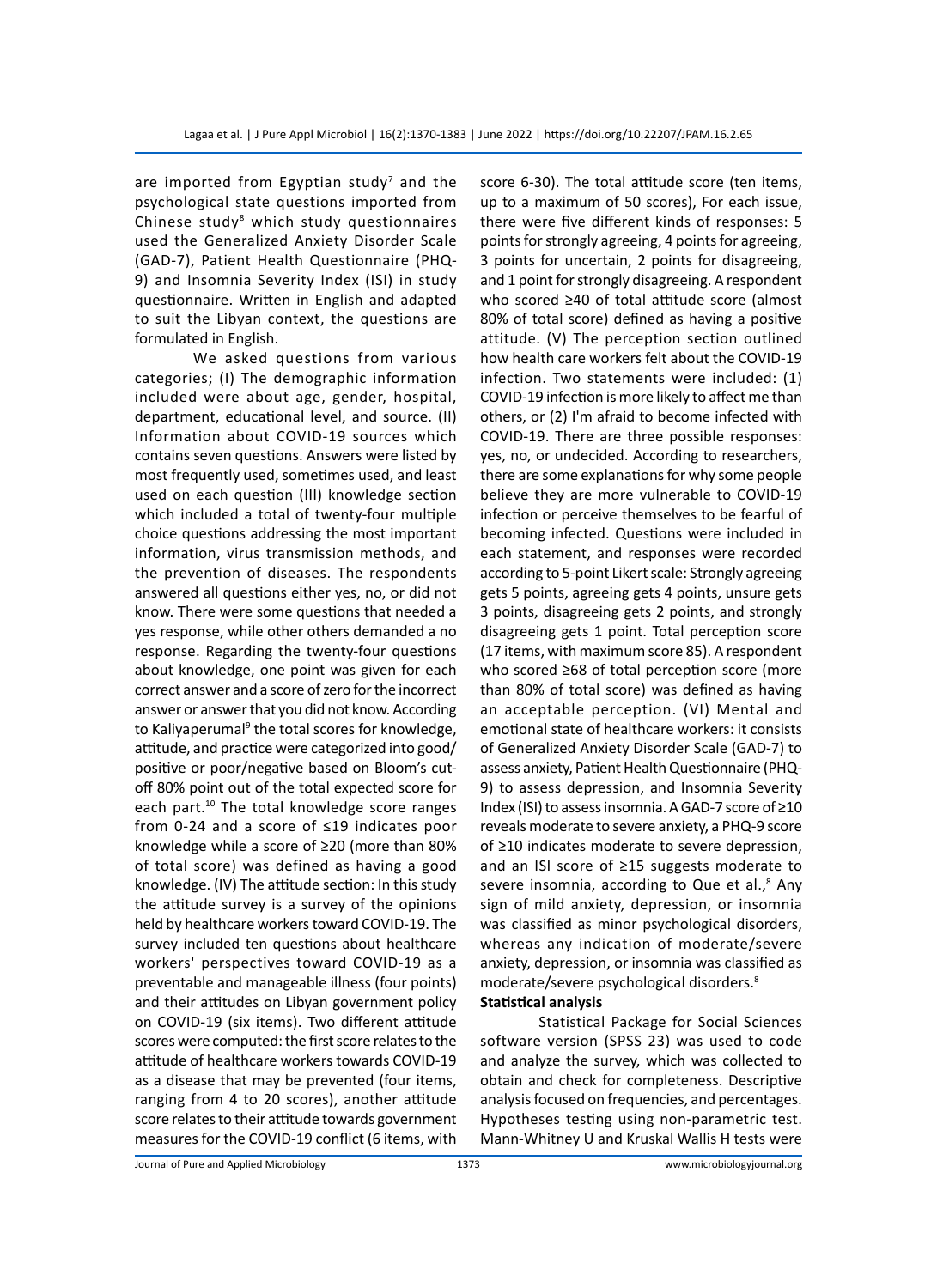are imported from Egyptian study<sup>7</sup> and the psychological state questions imported from Chinese study<sup>8</sup> which study questionnaires used the Generalized Anxiety Disorder Scale (GAD-7), Patient Health Questionnaire (PHQ-9) and Insomnia Severity Index (ISI) in study questionnaire. Written in English and adapted to suit the Libyan context, the questions are formulated in English.

We asked questions from various categories; (I) The demographic information included were about age, gender, hospital, department, educational level, and source. (II) Information about COVID-19 sources which contains seven questions. Answers were listed by most frequently used, sometimes used, and least used on each question (III) knowledge section which included a total of twenty-four multiple choice questions addressing the most important information, virus transmission methods, and the prevention of diseases. The respondents answered all questions either yes, no, or did not know. There were some questions that needed a yes response, while other others demanded a no response. Regarding the twenty-four questions about knowledge, one point was given for each correct answer and a score of zero for the incorrect answer or answer that you did not know. According to Kaliyaperumal<sup>9</sup> the total scores for knowledge, attitude, and practice were categorized into good/ positive or poor/negative based on Bloom's cutoff 80% point out of the total expected score for each part.<sup>10</sup> The total knowledge score ranges from 0-24 and a score of ≤19 indicates poor knowledge while a score of ≥20 (more than 80% of total score) was defined as having a good knowledge. (IV) The attitude section: In this study the attitude survey is a survey of the opinions held by healthcare workers toward COVID-19. The survey included ten questions about healthcare workers' perspectives toward COVID-19 as a preventable and manageable illness (four points) and their attitudes on Libyan government policy on COVID-19 (six items). Two different attitude scores were computed: the first score relates to the attitude of healthcare workers towards COVID-19 as a disease that may be prevented (four items, ranging from 4 to 20 scores), another attitude score relates to their attitude towards government measures for the COVID-19 conflict (6 items, with

score 6-30). The total attitude score (ten items, up to a maximum of 50 scores), For each issue, there were five different kinds of responses: 5 points for strongly agreeing, 4 points for agreeing, 3 points for uncertain, 2 points for disagreeing, and 1 point for strongly disagreeing. A respondent who scored ≥40 of total attitude score (almost 80% of total score) defined as having a positive attitude. (V) The perception section outlined how health care workers felt about the COVID-19 infection. Two statements were included: (1) COVID-19 infection is more likely to affect me than others, or (2) I'm afraid to become infected with COVID-19. There are three possible responses: yes, no, or undecided. According to researchers, there are some explanations for why some people believe they are more vulnerable to COVID-19 infection or perceive themselves to be fearful of becoming infected. Questions were included in each statement, and responses were recorded according to 5-point Likert scale: Strongly agreeing gets 5 points, agreeing gets 4 points, unsure gets 3 points, disagreeing gets 2 points, and strongly disagreeing gets 1 point. Total perception score (17 items, with maximum score 85). A respondent who scored ≥68 of total perception score (more than 80% of total score) was defined as having an acceptable perception. (VI) Mental and emotional state of healthcare workers: it consists of Generalized Anxiety Disorder Scale (GAD-7) to assess anxiety, Patient Health Questionnaire (PHQ-9) to assess depression, and Insomnia Severity Index (ISI) to assess insomnia. A GAD-7 score of ≥10 reveals moderate to severe anxiety, a PHQ-9 score of ≥10 indicates moderate to severe depression, and an ISI score of ≥15 suggests moderate to severe insomnia, according to Que et al.,<sup>8</sup> Any sign of mild anxiety, depression, or insomnia was classified as minor psychological disorders, whereas any indication of moderate/severe anxiety, depression, or insomnia was classified as moderate/severe psychological disorders.<sup>8</sup>

# **Statistical analysis**

Statistical Package for Social Sciences software version (SPSS 23) was used to code and analyze the survey, which was collected to obtain and check for completeness. Descriptive analysis focused on frequencies, and percentages. Hypotheses testing using non-parametric test. Mann-Whitney U and Kruskal Wallis H tests were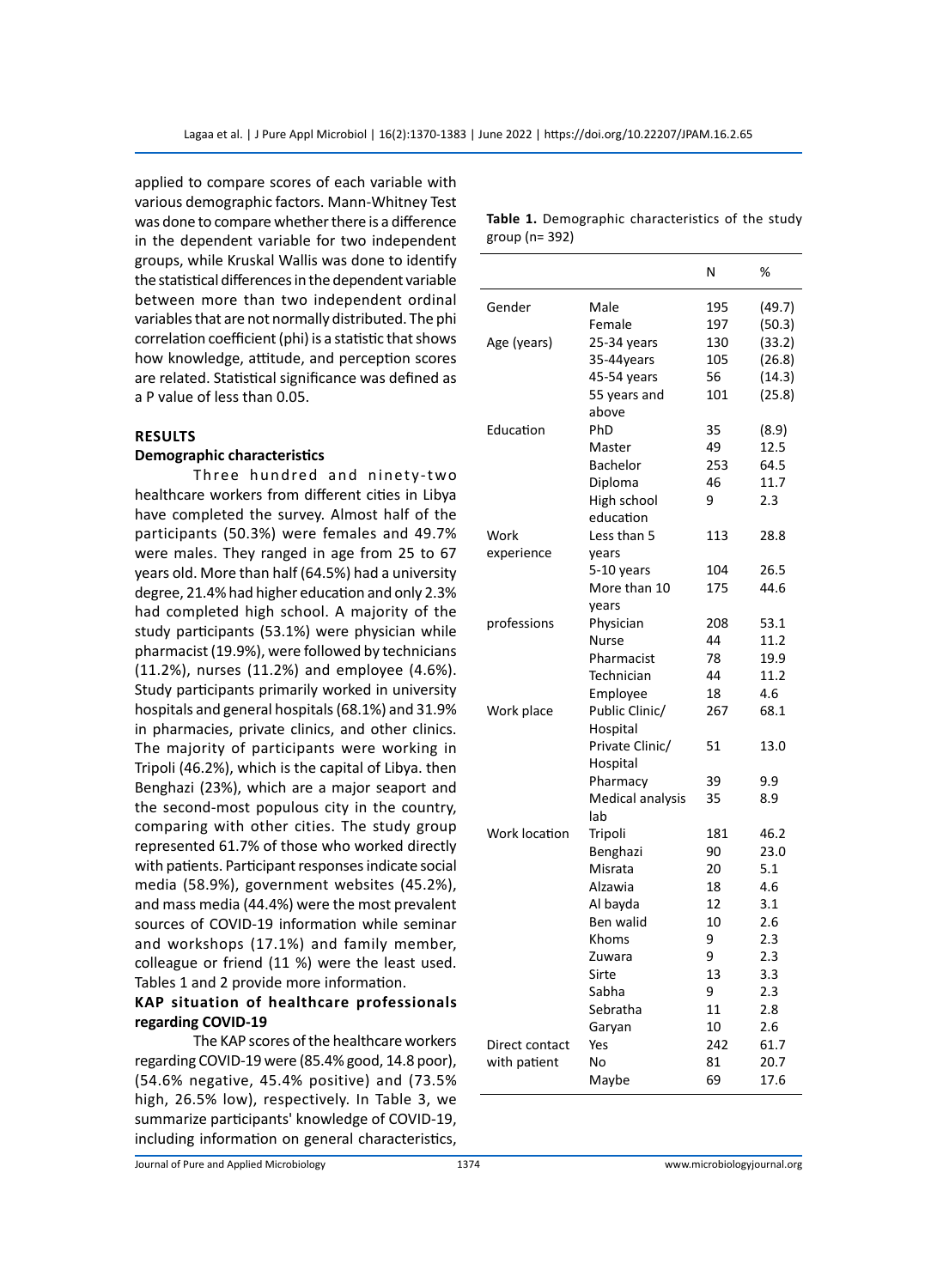applied to compare scores of each variable with various demographic factors. Mann-Whitney Test was done to compare whether there is a difference in the dependent variable for two independent groups, while Kruskal Wallis was done to identify the statistical differences in the dependent variable between more than two independent ordinal variables that are not normally distributed. The phi correlation coefficient (phi) is a statistic that shows how knowledge, attitude, and perception scores are related. Statistical significance was defined as a P value of less than 0.05.

# **Results**

#### **Demographic characteristics**

Three hundred and ninety-two healthcare workers from different cities in Libya have completed the survey. Almost half of the participants (50.3%) were females and 49.7% were males. They ranged in age from 25 to 67 years old. More than half (64.5%) had a university degree, 21.4% had higher education and only 2.3% had completed high school. A majority of the study participants (53.1%) were physician while pharmacist (19.9%), were followed by technicians (11.2%), nurses (11.2%) and employee (4.6%). Study participants primarily worked in university hospitals and general hospitals (68.1%) and 31.9% in pharmacies, private clinics, and other clinics. The majority of participants were working in Tripoli (46.2%), which is the capital of Libya. then Benghazi (23%), which are a major seaport and the second-most populous city in the country, comparing with other cities. The study group represented 61.7% of those who worked directly with patients. Participant responses indicate social media (58.9%), government websites (45.2%), and mass media (44.4%) were the most prevalent sources of COVID-19 information while seminar and workshops (17.1%) and family member, colleague or friend (11 %) were the least used. Tables 1 and 2 provide more information.

# **KAP situation of healthcare professionals regarding COVID-19**

The KAP scores of the healthcare workers regarding COVID-19 were (85.4% good, 14.8 poor), (54.6% negative, 45.4% positive) and (73.5% high, 26.5% low), respectively. In Table 3, we summarize participants' knowledge of COVID-19, including information on general characteristics,

|                |                  | Ν   | %      |
|----------------|------------------|-----|--------|
| Gender         | Male             | 195 | (49.7) |
|                | Female           | 197 | (50.3) |
| Age (years)    | 25-34 years      | 130 | (33.2) |
|                | 35-44years       | 105 | (26.8) |
|                | 45-54 years      | 56  | (14.3) |
|                | 55 years and     | 101 | (25.8) |
|                | above            |     |        |
| Education      | PhD              | 35  | (8.9)  |
|                | Master           | 49  | 12.5   |
|                | Bachelor         | 253 | 64.5   |
|                | Diploma          | 46  | 11.7   |
|                | High school      | 9   | 2.3    |
|                | education        |     |        |
| Work           | Less than 5      | 113 | 28.8   |
| experience     | years            |     |        |
|                | 5-10 years       | 104 | 26.5   |
|                | More than 10     | 175 | 44.6   |
|                | years            |     |        |
| professions    | Physician        | 208 | 53.1   |
|                | <b>Nurse</b>     | 44  | 11.2   |
|                | Pharmacist       | 78  | 19.9   |
|                | Technician       | 44  | 11.2   |
|                | Employee         | 18  | 4.6    |
| Work place     | Public Clinic/   | 267 | 68.1   |
|                | Hospital         |     |        |
|                | Private Clinic/  | 51  | 13.0   |
|                | Hospital         |     |        |
|                | Pharmacy         | 39  | 9.9    |
|                | Medical analysis | 35  | 8.9    |
|                | lab              |     |        |
| Work location  | Tripoli          | 181 | 46.2   |
|                | Benghazi         | 90  | 23.0   |
|                | Misrata          | 20  | 5.1    |
|                | Alzawia          | 18  | 4.6    |
|                | Al bayda         | 12  | 3.1    |
|                | Ben walid        | 10  | 2.6    |
|                | Khoms            | 9   | 2.3    |
|                | Zuwara           | 9   | 2.3    |
|                | Sirte            | 13  | 3.3    |
|                | Sabha            | 9   | 2.3    |
|                | Sebratha         | 11  | 2.8    |
|                | Garyan           | 10  | 2.6    |
| Direct contact | Yes              | 242 | 61.7   |
| with patient   | No               | 81  | 20.7   |
|                | Maybe            | 69  | 17.6   |

|                | <b>Table 1.</b> Demographic characteristics of the study |  |  |
|----------------|----------------------------------------------------------|--|--|
| group (n= 392) |                                                          |  |  |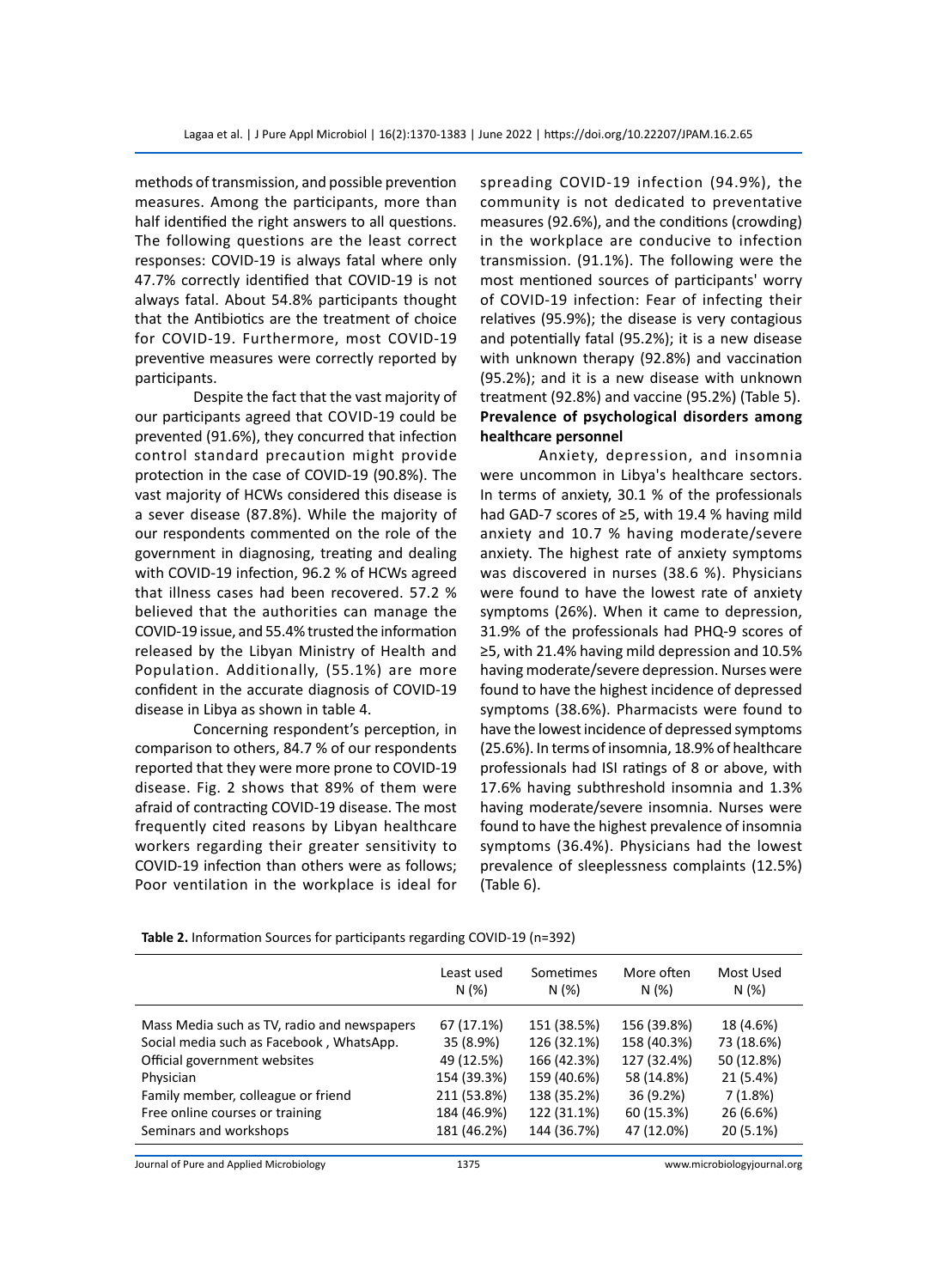methods of transmission, and possible prevention measures. Among the participants, more than half identified the right answers to all questions. The following questions are the least correct responses: COVID-19 is always fatal where only 47.7% correctly identified that COVID-19 is not always fatal. About 54.8% participants thought that the Antibiotics are the treatment of choice for COVID-19. Furthermore, most COVID-19 preventive measures were correctly reported by participants.

 Despite the fact that the vast majority of our participants agreed that COVID-19 could be prevented (91.6%), they concurred that infection control standard precaution might provide protection in the case of COVID-19 (90.8%). The vast majority of HCWs considered this disease is a sever disease (87.8%). While the majority of our respondents commented on the role of the government in diagnosing, treating and dealing with COVID-19 infection, 96.2 % of HCWs agreed that illness cases had been recovered. 57.2 % believed that the authorities can manage the COVID-19 issue, and 55.4% trusted the information released by the Libyan Ministry of Health and Population. Additionally, (55.1%) are more confident in the accurate diagnosis of COVID-19 disease in Libya as shown in table 4.

Concerning respondent's perception, in comparison to others, 84.7 % of our respondents reported that they were more prone to COVID-19 disease. Fig. 2 shows that 89% of them were afraid of contracting COVID-19 disease. The most frequently cited reasons by Libyan healthcare workers regarding their greater sensitivity to COVID-19 infection than others were as follows; Poor ventilation in the workplace is ideal for spreading COVID-19 infection (94.9%), the community is not dedicated to preventative measures (92.6%), and the conditions (crowding) in the workplace are conducive to infection transmission. (91.1%). The following were the most mentioned sources of participants' worry of COVID-19 infection: Fear of infecting their relatives (95.9%); the disease is very contagious and potentially fatal (95.2%); it is a new disease with unknown therapy (92.8%) and vaccination (95.2%); and it is a new disease with unknown treatment (92.8%) and vaccine (95.2%) (Table 5). **Prevalence of psychological disorders among healthcare personnel**

Anxiety, depression, and insomnia were uncommon in Libya's healthcare sectors. In terms of anxiety, 30.1 % of the professionals had GAD-7 scores of ≥5, with 19.4 % having mild anxiety and 10.7 % having moderate/severe anxiety. The highest rate of anxiety symptoms was discovered in nurses (38.6 %). Physicians were found to have the lowest rate of anxiety symptoms (26%). When it came to depression, 31.9% of the professionals had PHQ-9 scores of ≥5, with 21.4% having mild depression and 10.5% having moderate/severe depression. Nurses were found to have the highest incidence of depressed symptoms (38.6%). Pharmacists were found to have the lowest incidence of depressed symptoms (25.6%). In terms of insomnia, 18.9% of healthcare professionals had ISI ratings of 8 or above, with 17.6% having subthreshold insomnia and 1.3% having moderate/severe insomnia. Nurses were found to have the highest prevalence of insomnia symptoms (36.4%). Physicians had the lowest prevalence of sleeplessness complaints (12.5%) (Table 6).

|                                             | Least used<br>N(%) | Sometimes<br>N(%) | More often<br>N(%) | Most Used<br>N(%) |
|---------------------------------------------|--------------------|-------------------|--------------------|-------------------|
| Mass Media such as TV, radio and newspapers | 67 (17.1%)         | 151 (38.5%)       | 156 (39.8%)        | 18 (4.6%)         |
| Social media such as Facebook, WhatsApp.    | 35 (8.9%)          | 126 (32.1%)       | 158 (40.3%)        | 73 (18.6%)        |
| Official government websites                | 49 (12.5%)         | 166 (42.3%)       | 127 (32.4%)        | 50 (12.8%)        |
| Physician                                   | 154 (39.3%)        | 159 (40.6%)       | 58 (14.8%)         | 21 (5.4%)         |
| Family member, colleague or friend          | 211 (53.8%)        | 138 (35.2%)       | 36 (9.2%)          | 7(1.8%)           |
| Free online courses or training             | 184 (46.9%)        | 122 (31.1%)       | 60 (15.3%)         | 26 (6.6%)         |
| Seminars and workshops                      | 181 (46.2%)        | 144 (36.7%)       | 47 (12.0%)         | 20 (5.1%)         |

**Table 2.** Information Sources for participants regarding COVID-19 (n=392)

Journal of Pure and Applied Microbiology 1375 www.microbiologyjournal.org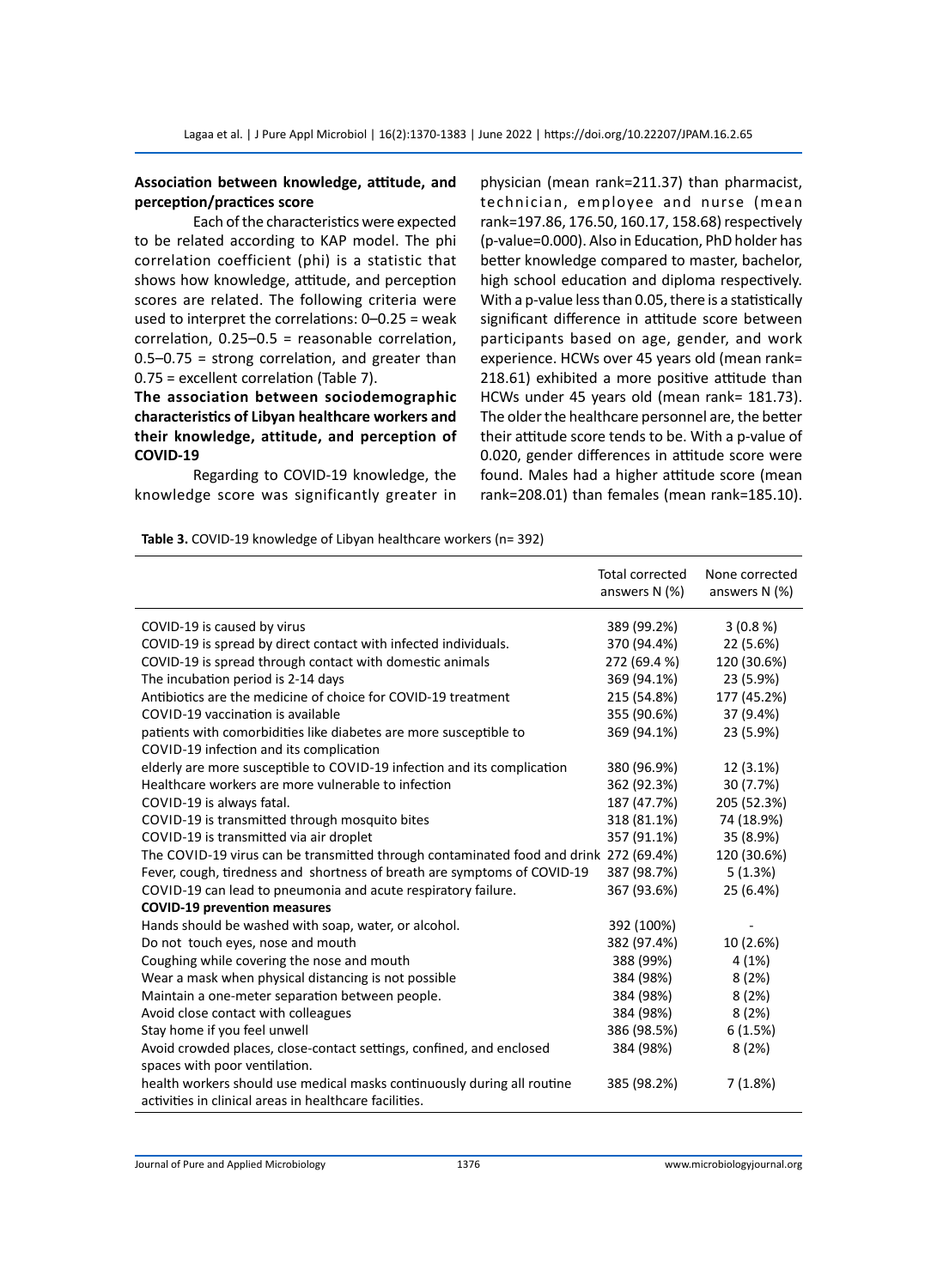# **Association between knowledge, attitude, and perception/practices score**

Each of the characteristics were expected to be related according to KAP model. The phi correlation coefficient (phi) is a statistic that shows how knowledge, attitude, and perception scores are related. The following criteria were used to interpret the correlations: 0–0.25 = weak correlation, 0.25–0.5 = reasonable correlation, 0.5–0.75 = strong correlation, and greater than 0.75 = excellent correlation (Table 7).

# **The association between sociodemographic characteristics of Libyan healthcare workers and their knowledge, attitude, and perception of COVID-19**

Regarding to COVID-19 knowledge, the knowledge score was significantly greater in physician (mean rank=211.37) than pharmacist, technician, employee and nurse (mean rank=197.86, 176.50, 160.17, 158.68) respectively (p-value=0.000). Also in Education, PhD holder has better knowledge compared to master, bachelor, high school education and diploma respectively. With a p-value less than 0.05, there is a statistically significant difference in attitude score between participants based on age, gender, and work experience. HCWs over 45 years old (mean rank= 218.61) exhibited a more positive attitude than HCWs under 45 years old (mean rank= 181.73). The older the healthcare personnel are, the better their attitude score tends to be. With a p-value of 0.020, gender differences in attitude score were found. Males had a higher attitude score (mean rank=208.01) than females (mean rank=185.10).

**Table 3.** COVID-19 knowledge of Libyan healthcare workers (n= 392)

|                                                                                       | <b>Total corrected</b><br>answers N (%) | None corrected<br>answers N (%) |
|---------------------------------------------------------------------------------------|-----------------------------------------|---------------------------------|
| COVID-19 is caused by virus                                                           | 389 (99.2%)                             | 3(0.8%                          |
| COVID-19 is spread by direct contact with infected individuals.                       | 370 (94.4%)                             | 22 (5.6%)                       |
| COVID-19 is spread through contact with domestic animals                              | 272 (69.4 %)                            | 120 (30.6%)                     |
| The incubation period is 2-14 days                                                    | 369 (94.1%)                             | 23 (5.9%)                       |
| Antibiotics are the medicine of choice for COVID-19 treatment                         | 215 (54.8%)                             | 177 (45.2%)                     |
| COVID-19 vaccination is available                                                     | 355 (90.6%)                             | 37 (9.4%)                       |
| patients with comorbidities like diabetes are more susceptible to                     | 369 (94.1%)                             | 23 (5.9%)                       |
| COVID-19 infection and its complication                                               |                                         |                                 |
| elderly are more susceptible to COVID-19 infection and its complication               | 380 (96.9%)                             | 12 (3.1%)                       |
| Healthcare workers are more vulnerable to infection                                   | 362 (92.3%)                             | 30 (7.7%)                       |
| COVID-19 is always fatal.                                                             | 187 (47.7%)                             | 205 (52.3%)                     |
| COVID-19 is transmitted through mosquito bites                                        | 318 (81.1%)                             | 74 (18.9%)                      |
| COVID-19 is transmitted via air droplet                                               | 357 (91.1%)                             | 35 (8.9%)                       |
| The COVID-19 virus can be transmitted through contaminated food and drink 272 (69.4%) |                                         | 120 (30.6%)                     |
| Fever, cough, tiredness and shortness of breath are symptoms of COVID-19              | 387 (98.7%)                             | 5(1.3%)                         |
| COVID-19 can lead to pneumonia and acute respiratory failure.                         | 367 (93.6%)                             | 25 (6.4%)                       |
| <b>COVID-19 prevention measures</b>                                                   |                                         |                                 |
| Hands should be washed with soap, water, or alcohol.                                  | 392 (100%)                              |                                 |
| Do not touch eyes, nose and mouth                                                     | 382 (97.4%)                             | 10 (2.6%)                       |
| Coughing while covering the nose and mouth                                            | 388 (99%)                               | 4(1%)                           |
| Wear a mask when physical distancing is not possible                                  | 384 (98%)                               | 8(2%)                           |
| Maintain a one-meter separation between people.                                       | 384 (98%)                               | 8(2%)                           |
| Avoid close contact with colleagues                                                   | 384 (98%)                               | 8(2%)                           |
| Stay home if you feel unwell                                                          | 386 (98.5%)                             | 6(1.5%)                         |
| Avoid crowded places, close-contact settings, confined, and enclosed                  | 384 (98%)                               | 8(2%)                           |
| spaces with poor ventilation.                                                         |                                         |                                 |
| health workers should use medical masks continuously during all routine               | 385 (98.2%)                             | 7(1.8%)                         |
| activities in clinical areas in healthcare facilities.                                |                                         |                                 |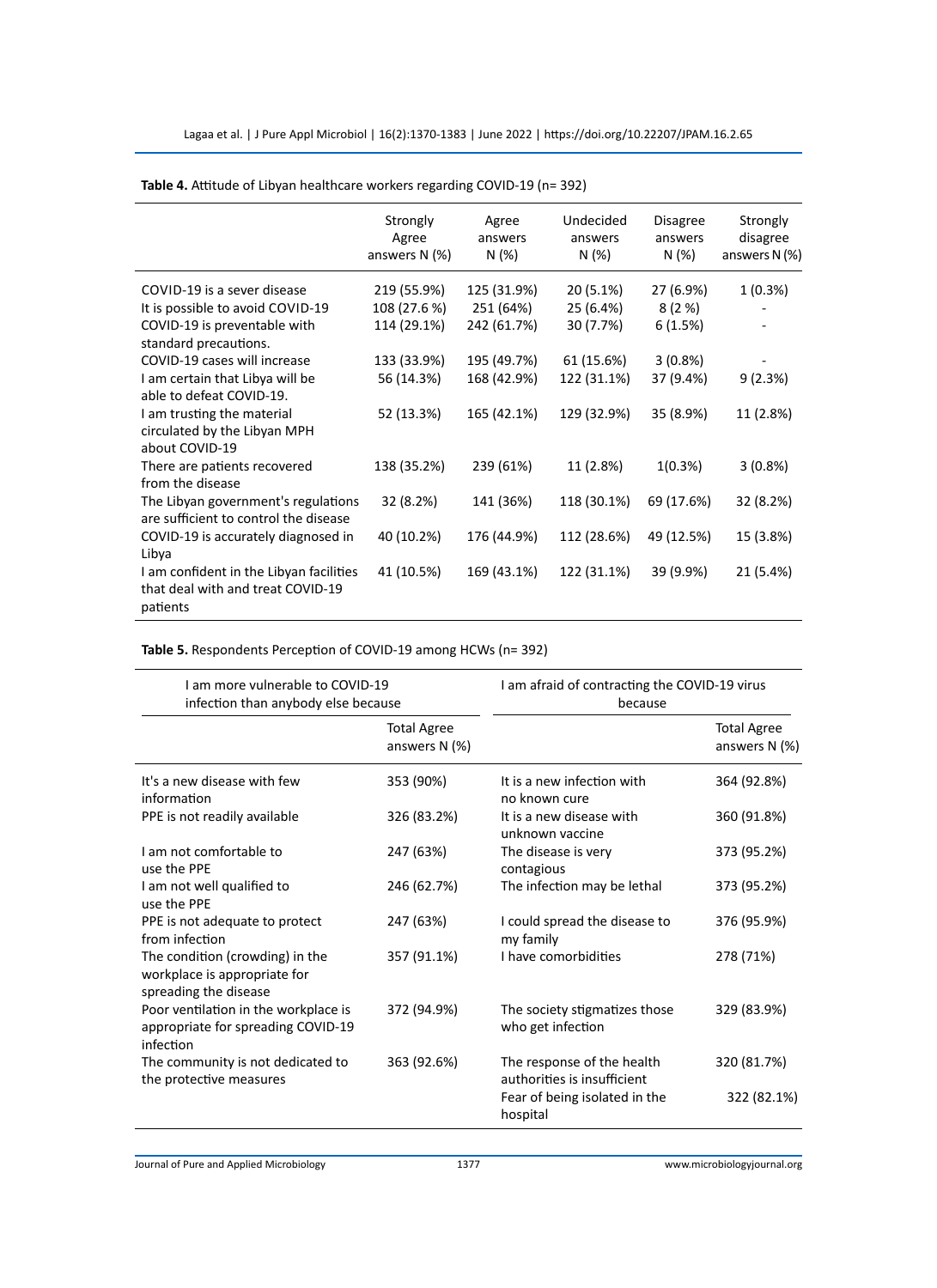|                                         | Strongly<br>Agree<br>answers $N$ (%) | Agree<br>answers<br>N(%) | Undecided<br>answers<br>N(%) | <b>Disagree</b><br>answers<br>N (%) | Strongly<br>disagree<br>answers $N$ (%) |
|-----------------------------------------|--------------------------------------|--------------------------|------------------------------|-------------------------------------|-----------------------------------------|
| COVID-19 is a sever disease             | 219 (55.9%)                          | 125 (31.9%)              | 20 (5.1%)                    | 27 (6.9%)                           | 1(0.3%)                                 |
| It is possible to avoid COVID-19        | 108 (27.6 %)                         | 251 (64%)                | 25 (6.4%)                    | 8(2%)                               |                                         |
| COVID-19 is preventable with            | 114 (29.1%)                          | 242 (61.7%)              | 30 (7.7%)                    | 6(1.5%)                             |                                         |
| standard precautions.                   |                                      |                          |                              |                                     |                                         |
| COVID-19 cases will increase            | 133 (33.9%)                          | 195 (49.7%)              | 61 (15.6%)                   | $3(0.8\%)$                          |                                         |
| I am certain that Libya will be         | 56 (14.3%)                           | 168 (42.9%)              | 122 (31.1%)                  | 37 (9.4%)                           | 9(2.3%)                                 |
| able to defeat COVID-19.                |                                      |                          |                              |                                     |                                         |
| I am trusting the material              | 52 (13.3%)                           | 165 (42.1%)              | 129 (32.9%)                  | 35 (8.9%)                           | 11 (2.8%)                               |
| circulated by the Libyan MPH            |                                      |                          |                              |                                     |                                         |
| about COVID-19                          |                                      |                          |                              |                                     |                                         |
| There are patients recovered            | 138 (35.2%)                          | 239 (61%)                | 11 (2.8%)                    | 1(0.3%)                             | $3(0.8\%)$                              |
| from the disease                        |                                      |                          |                              |                                     |                                         |
| The Libyan government's regulations     | 32 (8.2%)                            | 141 (36%)                | 118 (30.1%)                  | 69 (17.6%)                          | 32 (8.2%)                               |
| are sufficient to control the disease   |                                      |                          |                              |                                     |                                         |
| COVID-19 is accurately diagnosed in     | 40 (10.2%)                           | 176 (44.9%)              | 112 (28.6%)                  | 49 (12.5%)                          | 15 (3.8%)                               |
| Libya                                   |                                      |                          |                              |                                     |                                         |
| I am confident in the Libyan facilities | 41 (10.5%)                           | 169 (43.1%)              | 122 (31.1%)                  | 39 (9.9%)                           | 21 (5.4%)                               |
| that deal with and treat COVID-19       |                                      |                          |                              |                                     |                                         |
| patients                                |                                      |                          |                              |                                     |                                         |

# **Table 4.** Attitude of Libyan healthcare workers regarding COVID-19 (n= 392)

**Table 5.** Respondents Perception of COVID-19 among HCWs (n= 392)

| Lam more vulnerable to COVID-19<br>infection than anybody else because                   |                                       | I am afraid of contracting the COVID-19 virus<br>because  |                                       |  |  |
|------------------------------------------------------------------------------------------|---------------------------------------|-----------------------------------------------------------|---------------------------------------|--|--|
|                                                                                          | <b>Total Agree</b><br>answers $N(\%)$ |                                                           | <b>Total Agree</b><br>answers $N$ (%) |  |  |
| It's a new disease with few<br>information                                               | 353 (90%)                             | It is a new infection with<br>no known cure               | 364 (92.8%)                           |  |  |
| PPE is not readily available                                                             | 326 (83.2%)                           | It is a new disease with<br>unknown vaccine               | 360 (91.8%)                           |  |  |
| I am not comfortable to<br>use the PPE                                                   | 247 (63%)                             | The disease is very<br>contagious                         | 373 (95.2%)                           |  |  |
| I am not well qualified to<br>use the PPE                                                | 246 (62.7%)                           | The infection may be lethal                               | 373 (95.2%)                           |  |  |
| PPE is not adequate to protect<br>from infection                                         | 247 (63%)                             | I could spread the disease to<br>my family                | 376 (95.9%)                           |  |  |
| The condition (crowding) in the<br>workplace is appropriate for<br>spreading the disease | 357 (91.1%)                           | I have comorbidities                                      | 278 (71%)                             |  |  |
| Poor ventilation in the workplace is<br>appropriate for spreading COVID-19<br>infection  | 372 (94.9%)                           | The society stigmatizes those<br>who get infection        | 329 (83.9%)                           |  |  |
| The community is not dedicated to<br>the protective measures                             | 363 (92.6%)                           | The response of the health<br>authorities is insufficient | 320 (81.7%)                           |  |  |
|                                                                                          |                                       | Fear of being isolated in the<br>hospital                 | 322 (82.1%)                           |  |  |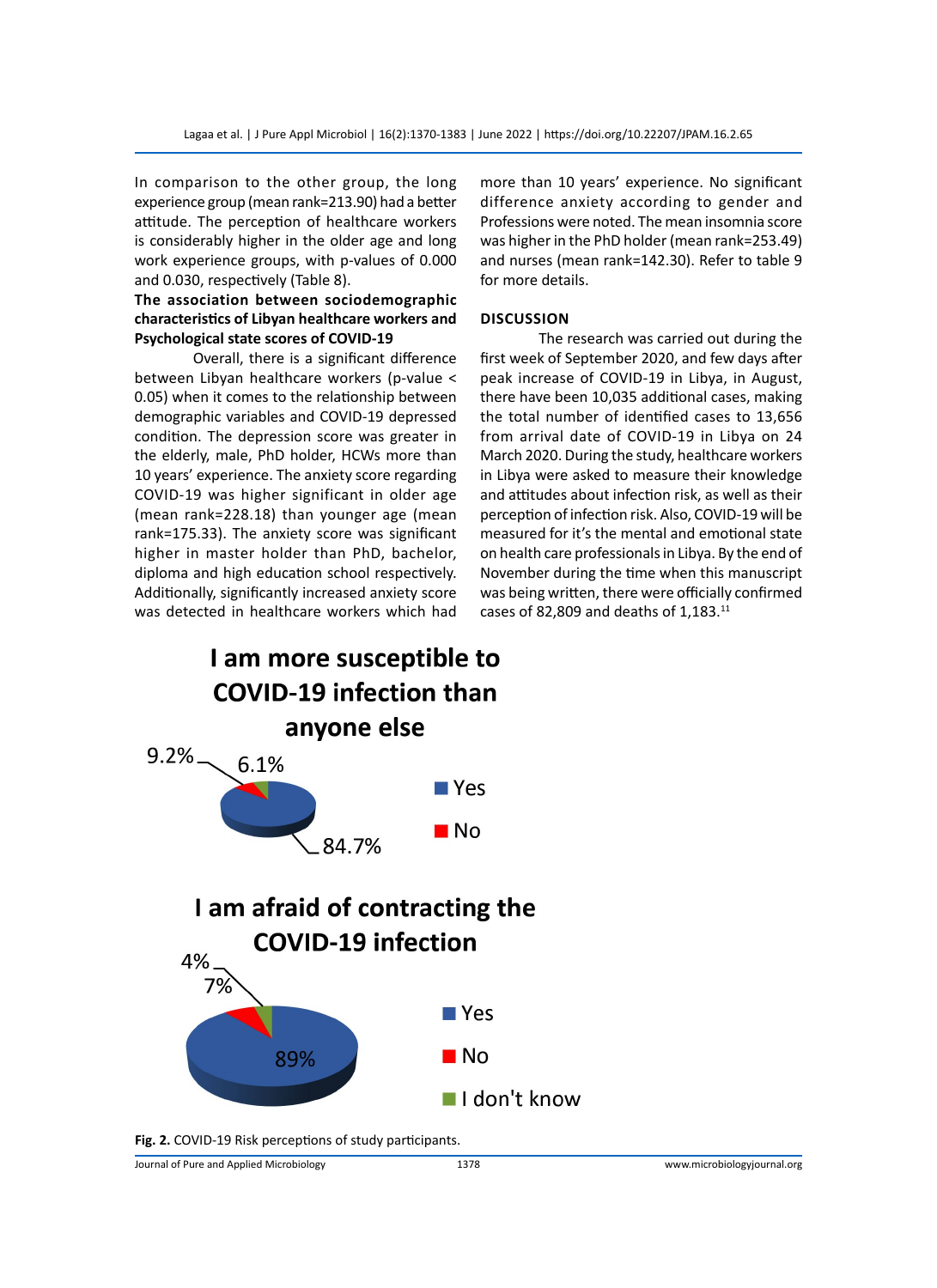In comparison to the other group, the long experience group (mean rank=213.90) had a better attitude. The perception of healthcare workers is considerably higher in the older age and long work experience groups, with p-values of 0.000 and 0.030, respectively (Table 8).

# **The association between sociodemographic characteristics of Libyan healthcare workers and Psychological state scores of COVID-19**

Overall, there is a significant difference between Libyan healthcare workers (p-value < 0.05) when it comes to the relationship between demographic variables and COVID-19 depressed condition. The depression score was greater in the elderly, male, PhD holder, HCWs more than 10 years' experience. The anxiety score regarding COVID-19 was higher significant in older age (mean rank=228.18) than younger age (mean rank=175.33). The anxiety score was significant higher in master holder than PhD, bachelor, diploma and high education school respectively. Additionally, significantly increased anxiety score was detected in healthcare workers which had

more than 10 years' experience. No significant difference anxiety according to gender and Professions were noted. The mean insomnia score was higher in the PhD holder (mean rank=253.49) and nurses (mean rank=142.30). Refer to table 9 for more details.

# **Discussion**

The research was carried out during the first week of September 2020, and few days after peak increase of COVID-19 in Libya, in August, there have been 10,035 additional cases, making the total number of identified cases to 13,656 from arrival date of COVID-19 in Libya on 24 March 2020. During the study, healthcare workers in Libya were asked to measure their knowledge and attitudes about infection risk, as well as their perception of infection risk. Also, COVID-19 will be measured for it's the mental and emotional state on health care professionals in Libya. By the end of November during the time when this manuscript was being written, there were officially confirmed cases of 82,809 and deaths of 1,183.11



**Fig. 2.** COVID-19 Risk perceptions of study participants.

Journal of Pure and Applied Microbiology 1378 www.microbiologyjournal.org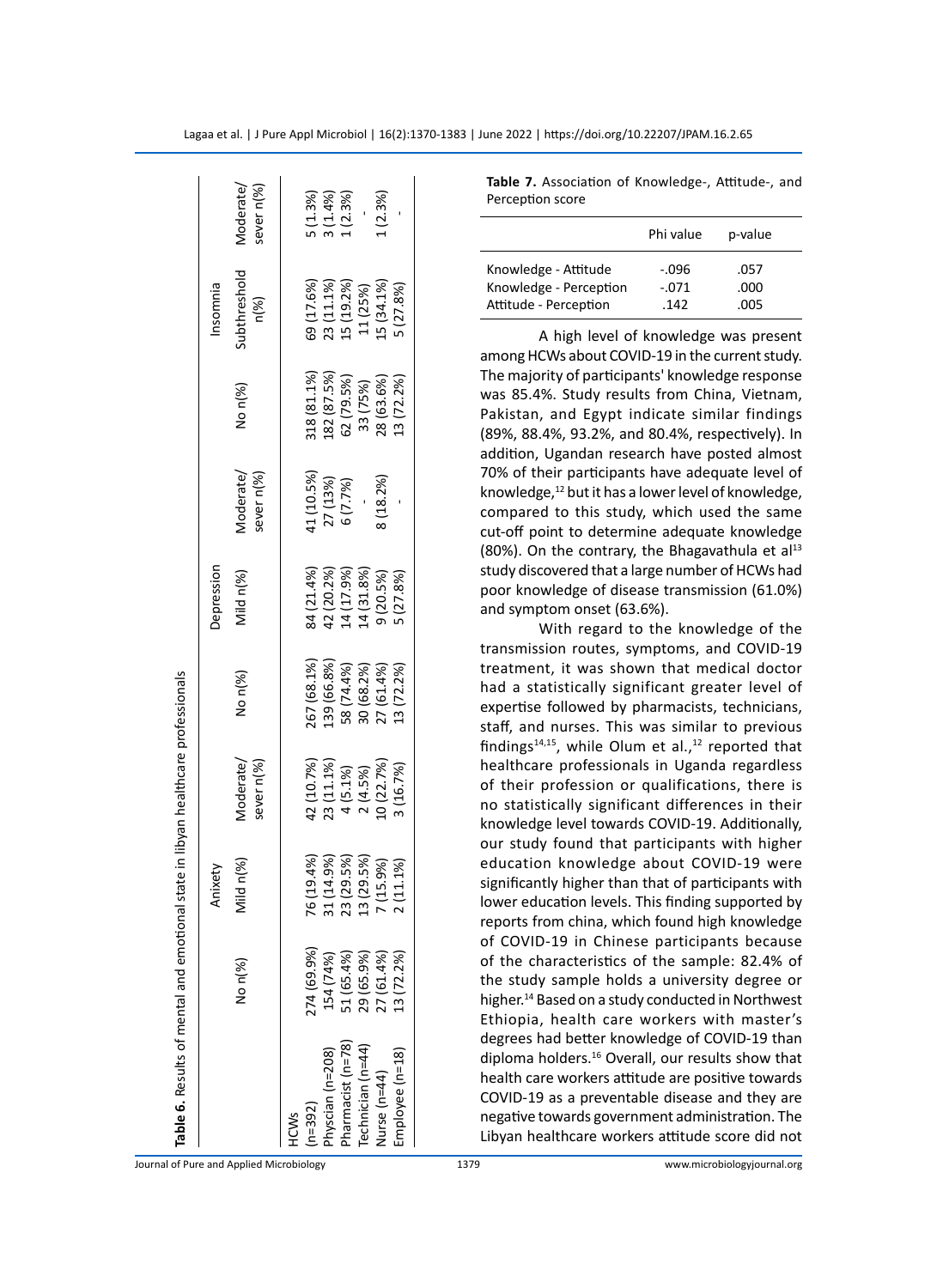| Table 6. Results of mental and emotional |             |               | state in libyan healthcare professionals                                                |                          |                                                                  |                          |                                          |                                      |                                  |
|------------------------------------------|-------------|---------------|-----------------------------------------------------------------------------------------|--------------------------|------------------------------------------------------------------|--------------------------|------------------------------------------|--------------------------------------|----------------------------------|
|                                          |             | Anixety       |                                                                                         |                          | Depression                                                       |                          |                                          | Insomnia                             |                                  |
|                                          | No n(%)     | ild n(%)      | sever n(%)<br>Moderate/                                                                 | No n(%)                  | Mild n(%)                                                        | Vloderate/<br>sever n(%) | No n(%)                                  | ubthreshold<br>$n\llap/86$           | Vloderate/<br>sever n(%)         |
| HCWS                                     |             |               |                                                                                         |                          |                                                                  |                          |                                          |                                      |                                  |
| $n = 392$                                | 274 (69.9%) | (19.4%<br>97  | 42 (10.7%)                                                                              | 267 (68.1%               | 84 (21.4%)                                                       | $(10.5\%)$               |                                          | 69 (17.6%)                           |                                  |
| hyscian (n=208)                          | 154 (74%)   | 31 (14.9%)    |                                                                                         | 39 (66.8%                |                                                                  |                          | 318 (81.1%)<br>182 (87.5%)<br>62 (79.5%) |                                      | 5 (1.3%)<br>3 (1.4%)<br>1 (2.3%) |
| harmacist (n=78)                         | 51 (65.4%)  | (29.5%)<br>23 |                                                                                         |                          |                                                                  | 27 (13%)<br>6 (7.7%)     |                                          |                                      |                                  |
| Technician (n=44)                        | 29 (65.9%)  | (29.5%)<br>ო  | $\begin{array}{c} 23\ (11.1\%) \\ 4\ (5.1\%) \\ 2\ (4.5\%) \\ 10\ (22.7\%) \end{array}$ | 58 (74.4%)<br>30 (68.2%) | 42 (20.2%)<br>14 (17.9%)<br>14 (31.8%)<br>9 (20.5%)<br>5 (27.8%) |                          | 33 (75%)                                 | 23 (11.1%)<br>15 (19.2%)<br>11 (25%) |                                  |
| $4$ urse (n=44)                          | 27 (61.4%)  | (15.9%)       |                                                                                         | 27 (61.4%)               |                                                                  | 8(18.2%)                 | 28 (63.6%)                               | $.5(34.1\%)$                         | (2.3%)                           |
| Employee (n=18)                          | 13(72.2%)   | 11.1%         | 1(16.7%)                                                                                | 13 (72.2%)               |                                                                  |                          | 3(72.2%)                                 | (27.8%)                              |                                  |
|                                          |             |               |                                                                                         |                          |                                                                  |                          |                                          |                                      |                                  |

**Table 7.** Association of Knowledge-, Attitude-, and Perception score

|                                                | Phi value          | p-value      |  |
|------------------------------------------------|--------------------|--------------|--|
| Knowledge - Attitude<br>Knowledge - Perception | $-.096$<br>$-.071$ | .057<br>.000 |  |
| Attitude - Perception                          | .142               | .005         |  |

A high level of knowledge was present among HCWs about CO V I D-19 in the current study. The majority of participants' knowledge response was 85.4%. Study results from China, Vietnam, Pakistan, and Egypt indicate similar findings (89%, 88.4%, 93.2%, and 80.4%, respectively). In addition, Ugandan research have posted almost 70% of their participants have adequate level of knowledge,<sup>12</sup> but it has a lower level of knowledge, compared to this study, which used the same cut-off point to determine adequate knowledge (80%). On the contrary, the Bhagavathula et al $^{13}$ study discovered that a large number of HCWs had poor knowledge of disease transmission (61.0%) and symptom onset (63.6%).

With regard to the knowledge of the transmission routes, symptoms, and CO V I D-19 treatment, it was shown that medical doctor had a statistically significant greater level of expertise followed by pharmacists, technicians, staff, and nurses. This was similar to previous findings<sup>14,15</sup>, while Olum et al.,<sup>12</sup> reported that healthcare professionals in Uganda regardless of their profession or qualifications, there is no statistically significant differences in their knowledge level towards CO V I D-19. Additionally, our study found that participants with higher education knowledge about CO V I D-19 were significantly higher than that of participants with lower education levels. This finding supported by reports from china, which found high knowledge of CO V I D-19 in Chinese participants because of the characteristics of the sample: 82.4% of the study sample holds a university degree or higher.<sup>14</sup> Based on a study conducted in Northwest Ethiopia, health care workers with master's degrees had better knowledge of CO V I D-19 than diploma holders.<sup>16</sup> Overall, our results show that health care workers attitude are positive towards CO V I D-19 as a preventable disease and they are negative towards government administration. The Libyan healthcare workers attitude score did not

Journal of Pure and Applied Microbiology 1379 www.microbiologyjournal.org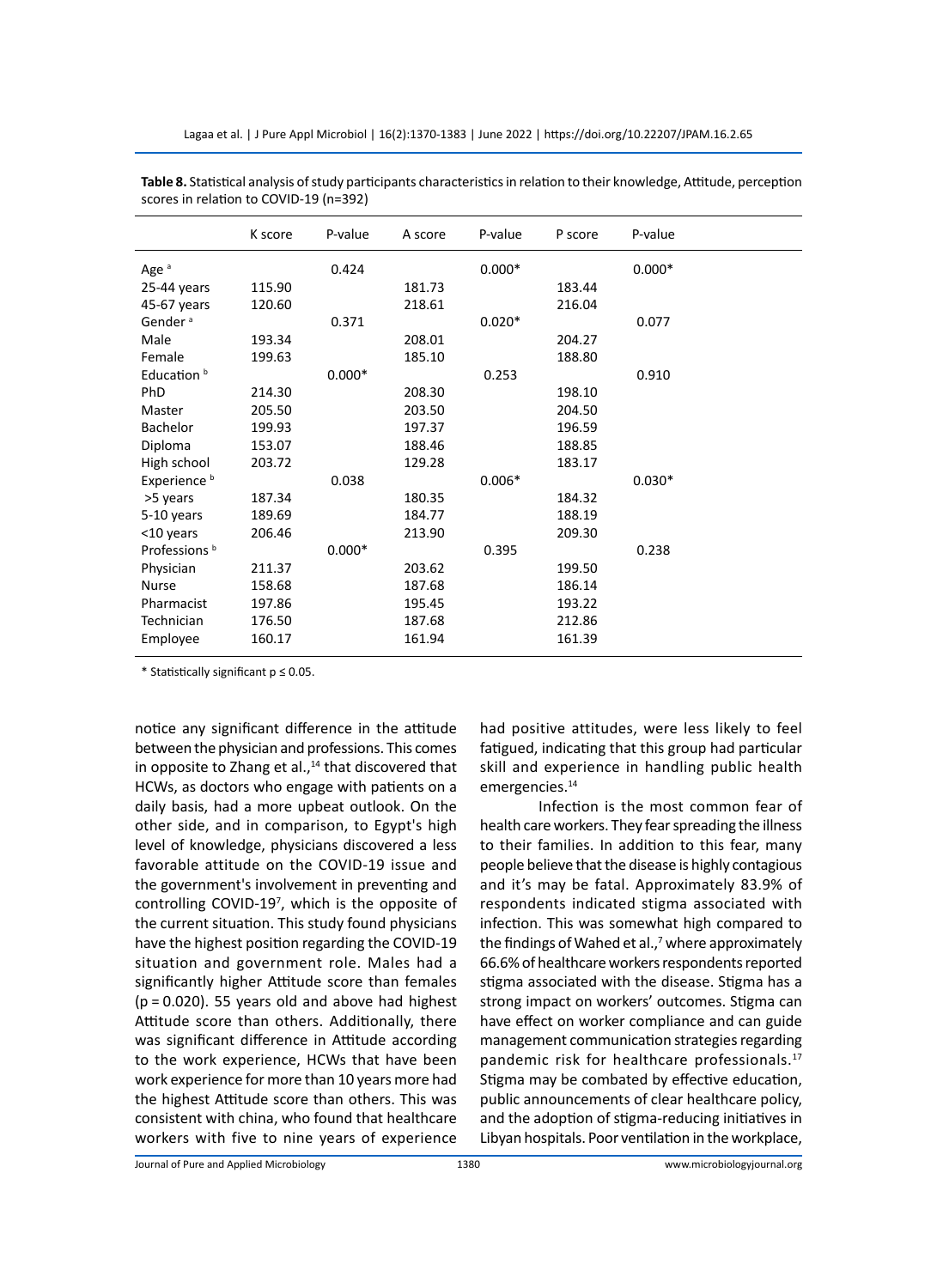|                          | K score | P-value  | A score | P-value  | P score | P-value  |
|--------------------------|---------|----------|---------|----------|---------|----------|
| Age <sup>a</sup>         |         | 0.424    |         | $0.000*$ |         | $0.000*$ |
| 25-44 years              | 115.90  |          | 181.73  |          | 183.44  |          |
| 45-67 years              | 120.60  |          | 218.61  |          | 216.04  |          |
| Gender <sup>a</sup>      |         | 0.371    |         | $0.020*$ |         | 0.077    |
| Male                     | 193.34  |          | 208.01  |          | 204.27  |          |
| Female                   | 199.63  |          | 185.10  |          | 188.80  |          |
| Education <sup>b</sup>   |         | $0.000*$ |         | 0.253    |         | 0.910    |
| <b>PhD</b>               | 214.30  |          | 208.30  |          | 198.10  |          |
| Master                   | 205.50  |          | 203.50  |          | 204.50  |          |
| Bachelor                 | 199.93  |          | 197.37  |          | 196.59  |          |
| Diploma                  | 153.07  |          | 188.46  |          | 188.85  |          |
| High school              | 203.72  |          | 129.28  |          | 183.17  |          |
| Experience <sup>b</sup>  |         | 0.038    |         | $0.006*$ |         | $0.030*$ |
| >5 years                 | 187.34  |          | 180.35  |          | 184.32  |          |
| 5-10 years               | 189.69  |          | 184.77  |          | 188.19  |          |
| <10 years                | 206.46  |          | 213.90  |          | 209.30  |          |
| Professions <sup>b</sup> |         | $0.000*$ |         | 0.395    |         | 0.238    |
| Physician                | 211.37  |          | 203.62  |          | 199.50  |          |
| Nurse                    | 158.68  |          | 187.68  |          | 186.14  |          |
| Pharmacist               | 197.86  |          | 195.45  |          | 193.22  |          |
| Technician               | 176.50  |          | 187.68  |          | 212.86  |          |
| Employee                 | 160.17  |          | 161.94  |          | 161.39  |          |

**Table 8.** Statistical analysis of study participants characteristics in relation to their knowledge, Attitude, perception scores in relation to COVID-19 (n=392)

\* Statistically significant p ≤ 0.05.

notice any significant difference in the attitude between the physician and professions. This comes in opposite to Zhang et al., $14$  that discovered that HCWs, as doctors who engage with patients on a daily basis, had a more upbeat outlook. On the other side, and in comparison, to Egypt's high level of knowledge, physicians discovered a less favorable attitude on the COVID-19 issue and the government's involvement in preventing and controlling COVID-19<sup>7</sup>, which is the opposite of the current situation. This study found physicians have the highest position regarding the COVID-19 situation and government role. Males had a significantly higher Attitude score than females (p = 0.020). 55 years old and above had highest Attitude score than others. Additionally, there was significant difference in Attitude according to the work experience, HCWs that have been work experience for more than 10 years more had the highest Attitude score than others. This was consistent with china, who found that healthcare workers with five to nine years of experience

had positive attitudes, were less likely to feel fatigued, indicating that this group had particular skill and experience in handling public health emergencies.<sup>14</sup>

Infection is the most common fear of health care workers. They fear spreading the illness to their families. In addition to this fear, many people believe that the disease is highly contagious and it's may be fatal. Approximately 83.9% of respondents indicated stigma associated with infection. This was somewhat high compared to the findings of Wahed et al., $^7$  where approximately 66.6% of healthcare workers respondents reported stigma associated with the disease. Stigma has a strong impact on workers' outcomes. Stigma can have effect on worker compliance and can guide management communication strategies regarding pandemic risk for healthcare professionals.<sup>17</sup> Stigma may be combated by effective education, public announcements of clear healthcare policy, and the adoption of stigma-reducing initiatives in Libyan hospitals. Poor ventilation in the workplace,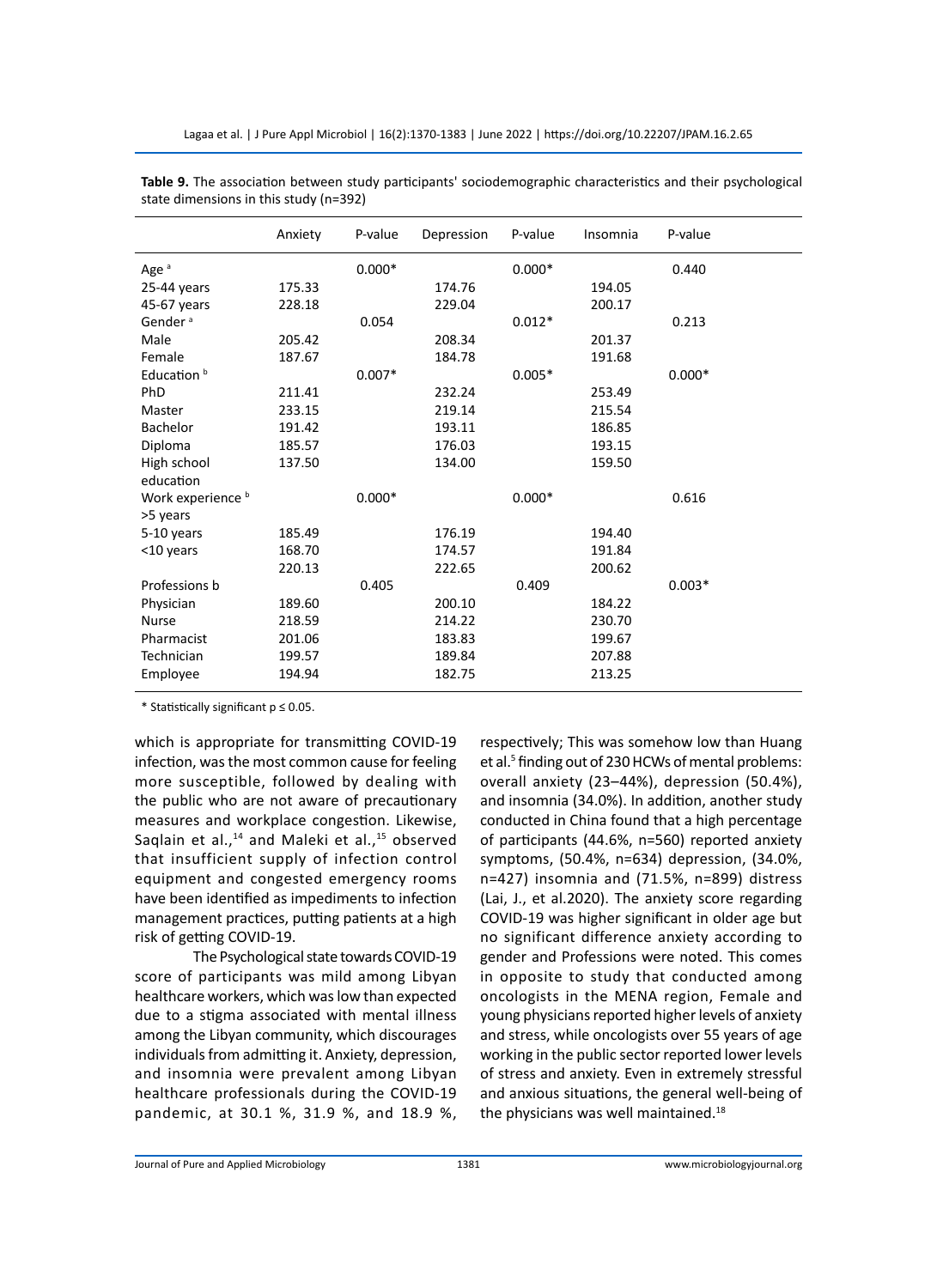|                        | Anxiety | P-value  | Depression | P-value  | Insomnia | P-value  |
|------------------------|---------|----------|------------|----------|----------|----------|
| Age <sup>a</sup>       |         | $0.000*$ |            | $0.000*$ |          | 0.440    |
| 25-44 years            | 175.33  |          | 174.76     |          | 194.05   |          |
| 45-67 years            | 228.18  |          | 229.04     |          | 200.17   |          |
| Gender <sup>a</sup>    |         | 0.054    |            | $0.012*$ |          | 0.213    |
| Male                   | 205.42  |          | 208.34     |          | 201.37   |          |
| Female                 | 187.67  |          | 184.78     |          | 191.68   |          |
| Education <sup>b</sup> |         | $0.007*$ |            | $0.005*$ |          | $0.000*$ |
| PhD                    | 211.41  |          | 232.24     |          | 253.49   |          |
| Master                 | 233.15  |          | 219.14     |          | 215.54   |          |
| <b>Bachelor</b>        | 191.42  |          | 193.11     |          | 186.85   |          |
| Diploma                | 185.57  |          | 176.03     |          | 193.15   |          |
| High school            | 137.50  |          | 134.00     |          | 159.50   |          |
| education              |         |          |            |          |          |          |
| Work experience b      |         | $0.000*$ |            | $0.000*$ |          | 0.616    |
| >5 years               |         |          |            |          |          |          |
| 5-10 years             | 185.49  |          | 176.19     |          | 194.40   |          |
| <10 years              | 168.70  |          | 174.57     |          | 191.84   |          |
|                        | 220.13  |          | 222.65     |          | 200.62   |          |
| Professions b          |         | 0.405    |            | 0.409    |          | $0.003*$ |
| Physician              | 189.60  |          | 200.10     |          | 184.22   |          |
| <b>Nurse</b>           | 218.59  |          | 214.22     |          | 230.70   |          |
| Pharmacist             | 201.06  |          | 183.83     |          | 199.67   |          |
| Technician             | 199.57  |          | 189.84     |          | 207.88   |          |
| Employee               | 194.94  |          | 182.75     |          | 213.25   |          |
|                        |         |          |            |          |          |          |

**Table 9.** The association between study participants' sociodemographic characteristics and their psychological state dimensions in this study (n=392)

\* Statistically significant p ≤ 0.05.

which is appropriate for transmitting COVID-19 infection, was the most common cause for feeling more susceptible, followed by dealing with the public who are not aware of precautionary measures and workplace congestion. Likewise, Saqlain et al., $^{14}$  and Maleki et al., $^{15}$  observed that insufficient supply of infection control equipment and congested emergency rooms have been identified as impediments to infection management practices, putting patients at a high risk of getting COVID-19.

The Psychological state towards COVID-19 score of participants was mild among Libyan healthcare workers, which was low than expected due to a stigma associated with mental illness among the Libyan community, which discourages individuals from admitting it. Anxiety, depression, and insomnia were prevalent among Libyan healthcare professionals during the COVID-19 pandemic, at 30.1 %, 31.9 %, and 18.9 %, respectively; This was somehow low than Huang et al.<sup>5</sup> finding out of 230 HCWs of mental problems: overall anxiety (23–44%), depression (50.4%), and insomnia (34.0%). In addition, another study conducted in China found that a high percentage of participants (44.6%, n=560) reported anxiety symptoms, (50.4%, n=634) depression, (34.0%, n=427) insomnia and (71.5%, n=899) distress (Lai, J., et al.2020). The anxiety score regarding COVID-19 was higher significant in older age but no significant difference anxiety according to gender and Professions were noted. This comes in opposite to study that conducted among oncologists in the MENA region, Female and young physicians reported higher levels of anxiety and stress, while oncologists over 55 years of age working in the public sector reported lower levels of stress and anxiety. Even in extremely stressful and anxious situations, the general well-being of the physicians was well maintained.<sup>18</sup>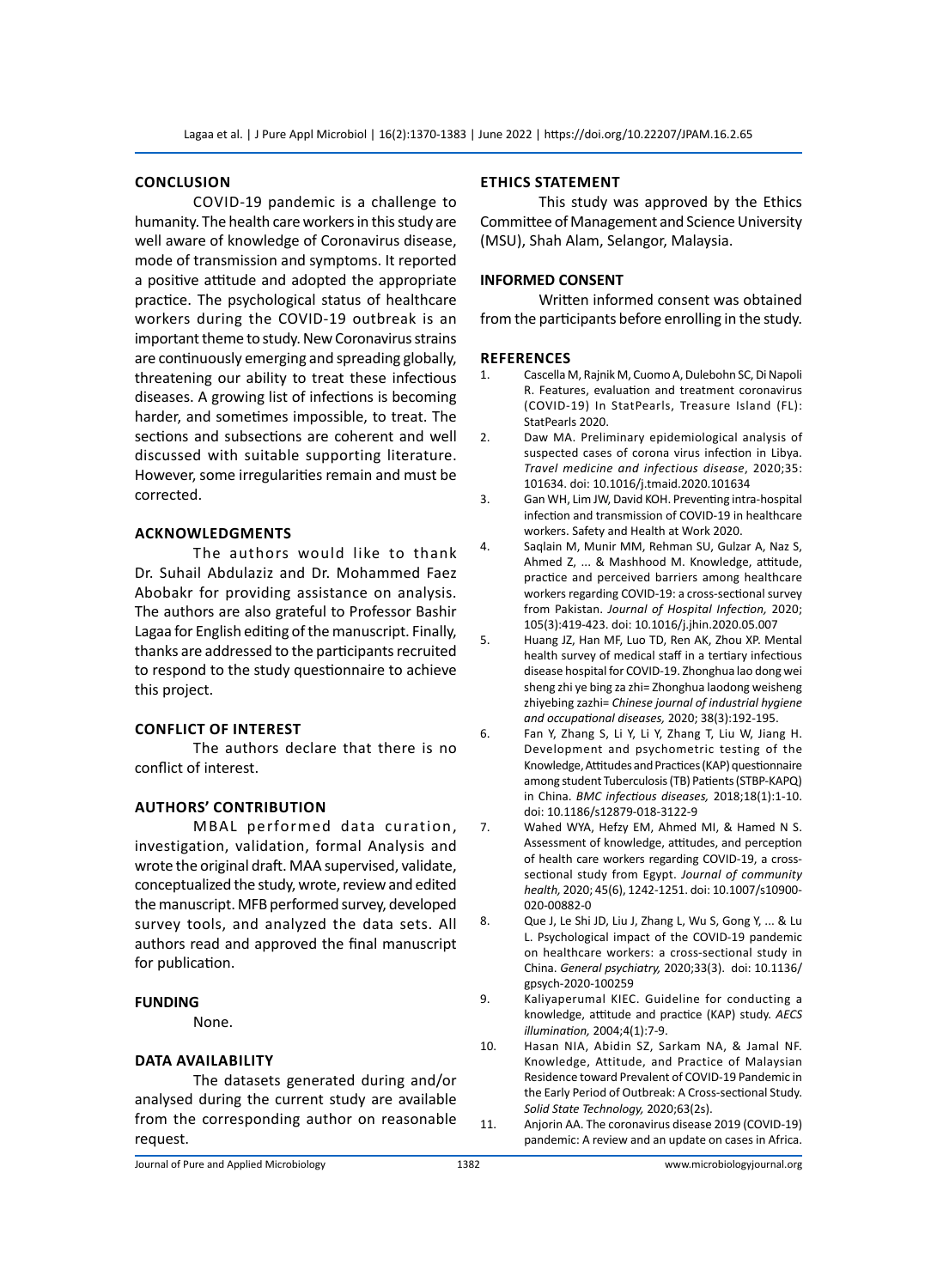#### **Conclusion**

COVID-19 pandemic is a challenge to humanity. The health care workers in this study are well aware of knowledge of Coronavirus disease, mode of transmission and symptoms. It reported a positive attitude and adopted the appropriate practice. The psychological status of healthcare workers during the COVID-19 outbreak is an important theme to study. New Coronavirus strains are continuously emerging and spreading globally, threatening our ability to treat these infectious diseases. A growing list of infections is becoming harder, and sometimes impossible, to treat. The sections and subsections are coherent and well discussed with suitable supporting literature. However, some irregularities remain and must be corrected.

# **Acknowledgments**

The authors would like to thank Dr. Suhail Abdulaziz and Dr. Mohammed Faez Abobakr for providing assistance on analysis. The authors are also grateful to Professor Bashir Lagaa for English editing of the manuscript. Finally, thanks are addressed to the participants recruited to respond to the study questionnaire to achieve this project.

#### **Conflict of interest**

The authors declare that there is no conflict of interest.

# **Authors' contribution**

MBAL performed data curation, investigation, validation, formal Analysis and wrote the original draft. MAA supervised, validate, conceptualized the study, wrote, review and edited the manuscript. MFB performed survey, developed survey tools, and analyzed the data sets. All authors read and approved the final manuscript for publication.

#### **FUNDING**

None.

#### **Data availability**

The datasets generated during and/or analysed during the current study are available from the corresponding author on reasonable request.

## **Ethics Statement**

This study was approved by the Ethics Committee of Management and Science University (MSU), Shah Alam, Selangor, Malaysia.

#### **INFORMED CONSENT**

Written informed consent was obtained from the participants before enrolling in the study.

# **References**

- 1. Cascella M, Rajnik M, Cuomo A, Dulebohn SC, Di Napoli R. Features, evaluation and treatment coronavirus (COVID‐19) In StatPearls, Treasure Island (FL): StatPearls 2020.
- 2. Daw MA. Preliminary epidemiological analysis of suspected cases of corona virus infection in Libya. *Travel medicine and infectious disease*, 2020;35: 101634. doi: 10.1016/j.tmaid.2020.101634
- 3. Gan WH, Lim JW, David KOH. Preventing intra-hospital infection and transmission of COVID-19 in healthcare workers. Safety and Health at Work 2020.
- 4. Saqlain M, Munir MM, Rehman SU, Gulzar A, Naz S, Ahmed Z, ... & Mashhood M. Knowledge, attitude, practice and perceived barriers among healthcare workers regarding COVID-19: a cross-sectional survey from Pakistan. *Journal of Hospital Infection,* 2020; 105(3):419-423. doi: 10.1016/j.jhin.2020.05.007
- 5. Huang JZ, Han MF, Luo TD, Ren AK, Zhou XP. Mental health survey of medical staff in a tertiary infectious disease hospital for COVID-19. Zhonghua lao dong wei sheng zhi ye bing za zhi= Zhonghua laodong weisheng zhiyebing zazhi= *Chinese journal of industrial hygiene and occupational diseases,* 2020; 38(3):192-195.
- 6. Fan Y, Zhang S, Li Y, Li Y, Zhang T, Liu W, Jiang H. Development and psychometric testing of the Knowledge, Attitudes and Practices (KAP) questionnaire among student Tuberculosis (TB) Patients (STBP-KAPQ) in China. *BMC infectious diseases,* 2018;18(1):1-10. doi: 10.1186/s12879-018-3122-9
- 7. Wahed WYA, Hefzy EM, Ahmed MI, & Hamed N S. Assessment of knowledge, attitudes, and perception of health care workers regarding COVID-19, a crosssectional study from Egypt. *Journal of community health,* 2020; 45(6), 1242-1251. doi: 10.1007/s10900- 020-00882-0
- 8. Que J, Le Shi JD, Liu J, Zhang L, Wu S, Gong Y, ... & Lu L. Psychological impact of the COVID-19 pandemic on healthcare workers: a cross-sectional study in China. *General psychiatry,* 2020;33(3). doi: 10.1136/ gpsych-2020-100259
- 9. Kaliyaperumal KIEC. Guideline for conducting a knowledge, attitude and practice (KAP) study. *AECS illumination,* 2004;4(1):7-9.
- 10. Hasan NIA, Abidin SZ, Sarkam NA, & Jamal NF. Knowledge, Attitude, and Practice of Malaysian Residence toward Prevalent of COVID-19 Pandemic in the Early Period of Outbreak: A Cross-sectional Study. *Solid State Technology,* 2020;63(2s).
- 11. Anjorin AA. The coronavirus disease 2019 (COVID-19) pandemic: A review and an update on cases in Africa.